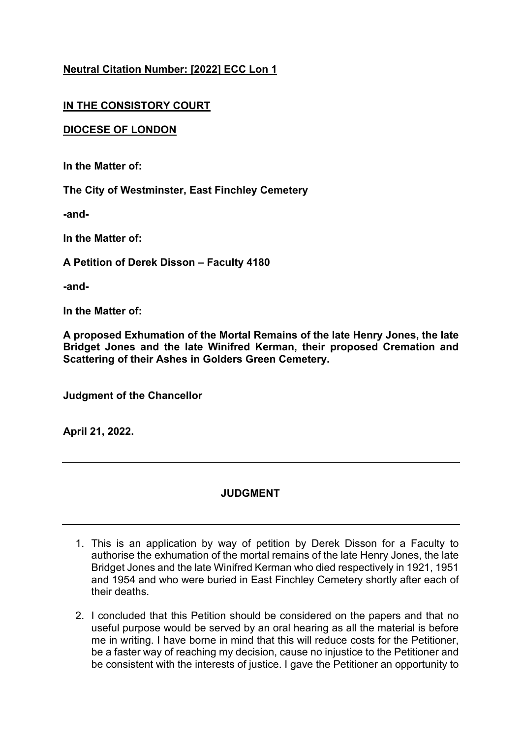## **Neutral Citation Number: [2022] ECC Lon 1**

## **IN THE CONSISTORY COURT**

## **DIOCESE OF LONDON**

**In the Matter of:** 

**The City of Westminster, East Finchley Cemetery** 

**-and-**

**In the Matter of:** 

**A Petition of Derek Disson – Faculty 4180** 

**-and-**

**In the Matter of:** 

**A proposed Exhumation of the Mortal Remains of the late Henry Jones, the late Bridget Jones and the late Winifred Kerman, their proposed Cremation and Scattering of their Ashes in Golders Green Cemetery.** 

**Judgment of the Chancellor** 

**April 21, 2022.** 

## **JUDGMENT**

- 1. This is an application by way of petition by Derek Disson for a Faculty to authorise the exhumation of the mortal remains of the late Henry Jones, the late Bridget Jones and the late Winifred Kerman who died respectively in 1921, 1951 and 1954 and who were buried in East Finchley Cemetery shortly after each of their deaths.
- 2. I concluded that this Petition should be considered on the papers and that no useful purpose would be served by an oral hearing as all the material is before me in writing. I have borne in mind that this will reduce costs for the Petitioner, be a faster way of reaching my decision, cause no injustice to the Petitioner and be consistent with the interests of justice. I gave the Petitioner an opportunity to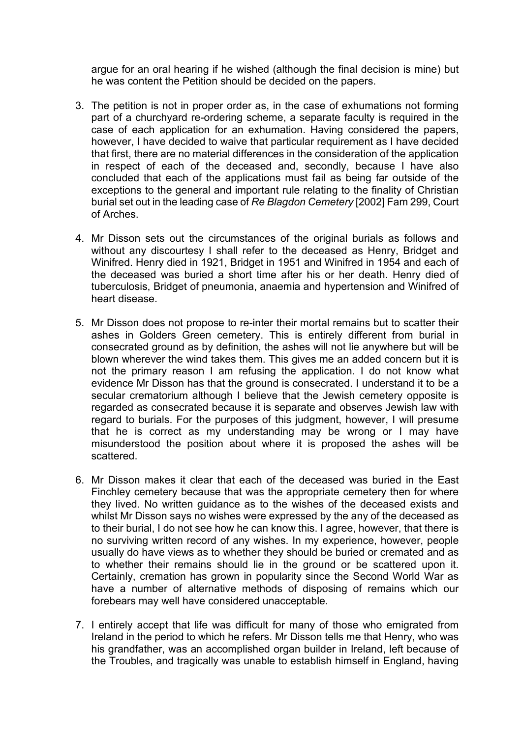argue for an oral hearing if he wished (although the final decision is mine) but he was content the Petition should be decided on the papers.

- 3. The petition is not in proper order as, in the case of exhumations not forming part of a churchyard re-ordering scheme, a separate faculty is required in the case of each application for an exhumation. Having considered the papers, however, I have decided to waive that particular requirement as I have decided that first, there are no material differences in the consideration of the application in respect of each of the deceased and, secondly, because I have also concluded that each of the applications must fail as being far outside of the exceptions to the general and important rule relating to the finality of Christian burial set out in the leading case of *Re Blagdon Cemetery* [2002] Fam 299, Court of Arches.
- 4. Mr Disson sets out the circumstances of the original burials as follows and without any discourtesy I shall refer to the deceased as Henry, Bridget and Winifred. Henry died in 1921, Bridget in 1951 and Winifred in 1954 and each of the deceased was buried a short time after his or her death. Henry died of tuberculosis, Bridget of pneumonia, anaemia and hypertension and Winifred of heart disease.
- 5. Mr Disson does not propose to re-inter their mortal remains but to scatter their ashes in Golders Green cemetery. This is entirely different from burial in consecrated ground as by definition, the ashes will not lie anywhere but will be blown wherever the wind takes them. This gives me an added concern but it is not the primary reason I am refusing the application. I do not know what evidence Mr Disson has that the ground is consecrated. I understand it to be a secular crematorium although I believe that the Jewish cemetery opposite is regarded as consecrated because it is separate and observes Jewish law with regard to burials. For the purposes of this judgment, however, I will presume that he is correct as my understanding may be wrong or I may have misunderstood the position about where it is proposed the ashes will be scattered.
- 6. Mr Disson makes it clear that each of the deceased was buried in the East Finchley cemetery because that was the appropriate cemetery then for where they lived. No written guidance as to the wishes of the deceased exists and whilst Mr Disson says no wishes were expressed by the any of the deceased as to their burial, I do not see how he can know this. I agree, however, that there is no surviving written record of any wishes. In my experience, however, people usually do have views as to whether they should be buried or cremated and as to whether their remains should lie in the ground or be scattered upon it. Certainly, cremation has grown in popularity since the Second World War as have a number of alternative methods of disposing of remains which our forebears may well have considered unacceptable.
- 7. I entirely accept that life was difficult for many of those who emigrated from Ireland in the period to which he refers. Mr Disson tells me that Henry, who was his grandfather, was an accomplished organ builder in Ireland, left because of the Troubles, and tragically was unable to establish himself in England, having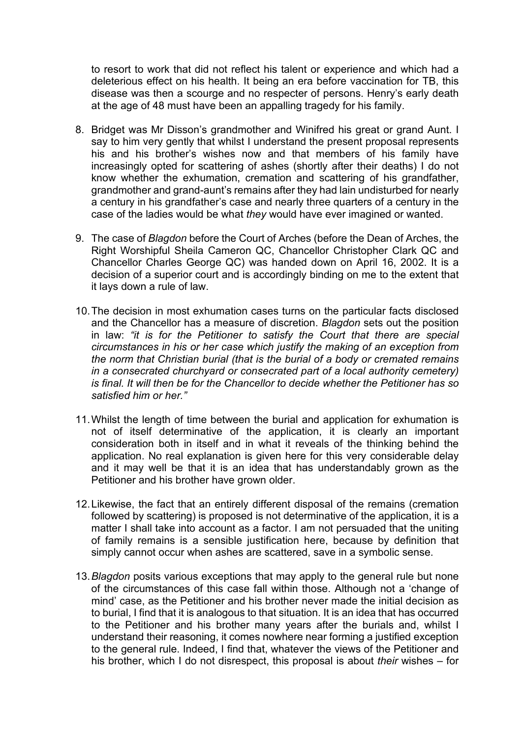to resort to work that did not reflect his talent or experience and which had a deleterious effect on his health. It being an era before vaccination for TB, this disease was then a scourge and no respecter of persons. Henry's early death at the age of 48 must have been an appalling tragedy for his family.

- 8. Bridget was Mr Disson's grandmother and Winifred his great or grand Aunt. I say to him very gently that whilst I understand the present proposal represents his and his brother's wishes now and that members of his family have increasingly opted for scattering of ashes (shortly after their deaths) I do not know whether the exhumation, cremation and scattering of his grandfather, grandmother and grand-aunt's remains after they had lain undisturbed for nearly a century in his grandfather's case and nearly three quarters of a century in the case of the ladies would be what *they* would have ever imagined or wanted.
- 9. The case of *Blagdon* before the Court of Arches (before the Dean of Arches, the Right Worshipful Sheila Cameron QC, Chancellor Christopher Clark QC and Chancellor Charles George QC) was handed down on April 16, 2002. It is a decision of a superior court and is accordingly binding on me to the extent that it lays down a rule of law.
- 10. The decision in most exhumation cases turns on the particular facts disclosed and the Chancellor has a measure of discretion. *Blagdon* sets out the position in law: *"it is for the Petitioner to satisfy the Court that there are special circumstances in his or her case which justify the making of an exception from the norm that Christian burial (that is the burial of a body or cremated remains in a consecrated churchyard or consecrated part of a local authority cemetery) is final. It will then be for the Chancellor to decide whether the Petitioner has so satisfied him or her."*
- 11. Whilst the length of time between the burial and application for exhumation is not of itself determinative of the application, it is clearly an important consideration both in itself and in what it reveals of the thinking behind the application. No real explanation is given here for this very considerable delay and it may well be that it is an idea that has understandably grown as the Petitioner and his brother have grown older.
- 12. Likewise, the fact that an entirely different disposal of the remains (cremation followed by scattering) is proposed is not determinative of the application, it is a matter I shall take into account as a factor. I am not persuaded that the uniting of family remains is a sensible justification here, because by definition that simply cannot occur when ashes are scattered, save in a symbolic sense.
- 13. *Blagdon* posits various exceptions that may apply to the general rule but none of the circumstances of this case fall within those. Although not a 'change of mind' case, as the Petitioner and his brother never made the initial decision as to burial, I find that it is analogous to that situation. It is an idea that has occurred to the Petitioner and his brother many years after the burials and, whilst I understand their reasoning, it comes nowhere near forming a justified exception to the general rule. Indeed, I find that, whatever the views of the Petitioner and his brother, which I do not disrespect, this proposal is about *their* wishes – for